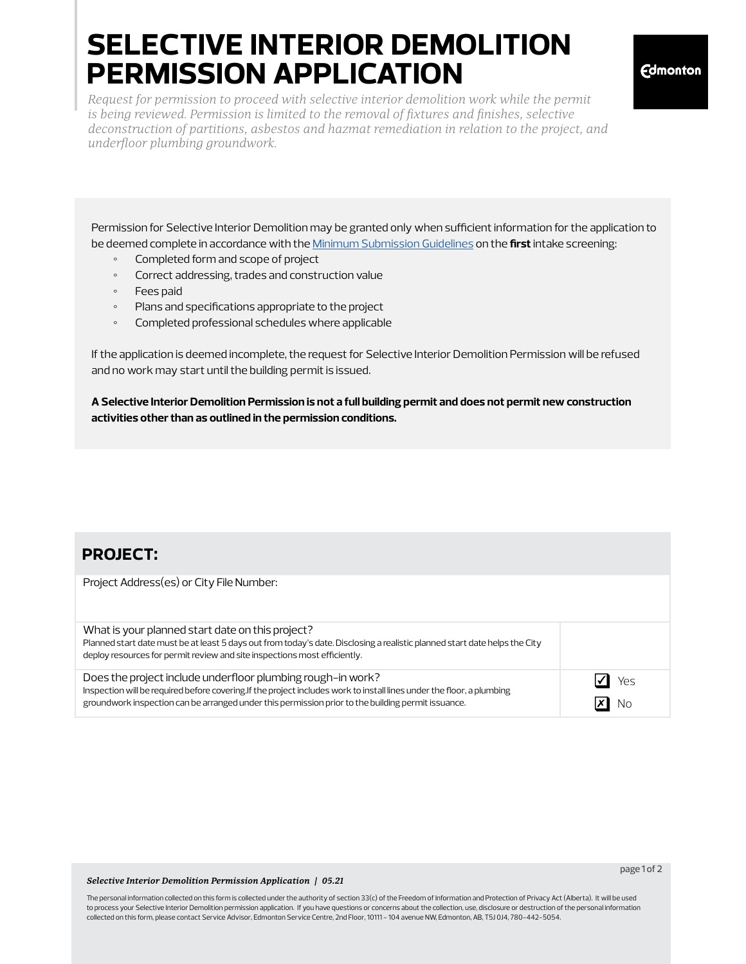# **selective interior demolition permission application**

*Request for permission to proceed with selective interior demolition work while the permit is being reviewed. Permission is limited to the removal of fixtures and finishes, selective deconstruction of partitions, asbestos and hazmat remediation in relation to the project, and underfloor plumbing groundwork.*

Permission for Selective Interior Demolition may be granted only when sufficient information for the application to be deemed complete in accordance with the [Minimum Submission Guidelines](https://www.edmonton.ca/business_economy/documents/PDF/Commercial_BP_Minimum_Submission.pdf) on the **first** intake screening:

- Completed form and scope of project
- Correct addressing, trades and construction value
- Fees paid
- Plans and specifications appropriate to the project
- Completed professional schedules where applicable

If the application is deemed incomplete, the request for Selective Interior Demolition Permission will be refused and no work may start until the building permit is issued.

**A Selective Interior Demolition Permission is not a full building permit and does not permit new construction activities other than as outlined in the permission conditions.**

### **project:**

| Project Address(es) or City File Number:                                                                                                                                                                                                                                                    |           |
|---------------------------------------------------------------------------------------------------------------------------------------------------------------------------------------------------------------------------------------------------------------------------------------------|-----------|
| What is your planned start date on this project?<br>Planned start date must be at least 5 days out from today's date. Disclosing a realistic planned start date helps the City<br>deploy resources for permit review and site inspections most efficiently.                                 |           |
| Does the project include underfloor plumbing rough-in work?<br>Inspection will be required before covering. If the project includes work to install lines under the floor, a plumbing<br>groundwork inspection can be arranged under this permission prior to the building permit issuance. | Yes<br>NΟ |

### *Selective Interior Demolition Permission Application | 05.21*

The personal information collected on this form is collected under the authority of section 33(c) of the Freedom of Information and Protection of Privacy Act (Alberta). It will be used to process your Selective Interior Demolition permission application. If you have questions or concerns about the collection, use, disclosure or destruction of the personal information collected on this form, please contact Service Advisor, Edmonton Service Centre, 2nd Floor, 10111 - 104 avenue NW, Edmonton, AB, T5J 0J4, 780-442-5054.